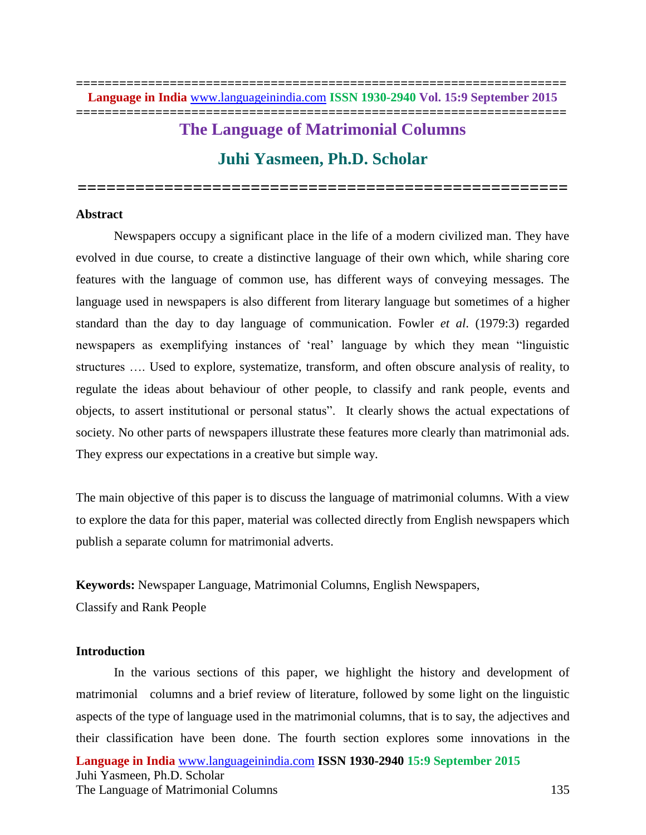# **The Language of Matrimonial Columns Juhi Yasmeen, Ph.D. Scholar**

**===================================================**

**Abstract**

Newspapers occupy a significant place in the life of a modern civilized man. They have evolved in due course, to create a distinctive language of their own which, while sharing core features with the language of common use, has different ways of conveying messages. The language used in newspapers is also different from literary language but sometimes of a higher standard than the day to day language of communication. Fowler *et al*. (1979:3) regarded newspapers as exemplifying instances of 'real' language by which they mean "linguistic structures …. Used to explore, systematize, transform, and often obscure analysis of reality, to regulate the ideas about behaviour of other people, to classify and rank people, events and objects, to assert institutional or personal status". It clearly shows the actual expectations of society. No other parts of newspapers illustrate these features more clearly than matrimonial ads. They express our expectations in a creative but simple way.

The main objective of this paper is to discuss the language of matrimonial columns. With a view to explore the data for this paper, material was collected directly from English newspapers which publish a separate column for matrimonial adverts.

**Keywords:** Newspaper Language, Matrimonial Columns, English Newspapers,

Classify and Rank People

# **Introduction**

**Language in India** [www.languageinindia.com](http://www.languageinindia.com/) **ISSN 1930-2940 15:9 September 2015** Juhi Yasmeen, Ph.D. Scholar The Language of Matrimonial Columns 135 In the various sections of this paper, we highlight the history and development of matrimonial columns and a brief review of literature, followed by some light on the linguistic aspects of the type of language used in the matrimonial columns, that is to say, the adjectives and their classification have been done. The fourth section explores some innovations in the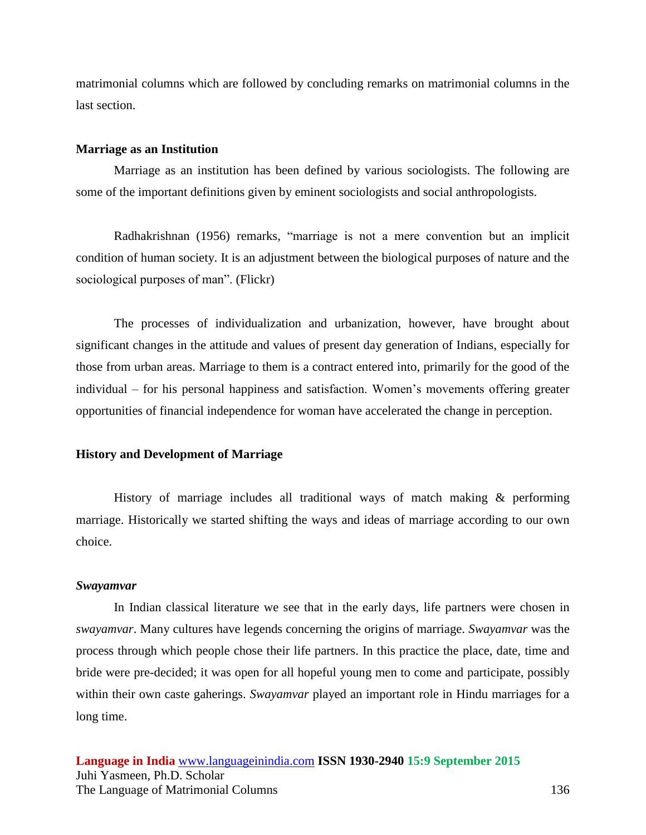matrimonial columns which are followed by concluding remarks on matrimonial columns in the last section.

#### **Marriage as an Institution**

Marriage as an institution has been defined by various sociologists. The following are some of the important definitions given by eminent sociologists and social anthropologists.

Radhakrishnan (1956) remarks, "marriage is not a mere convention but an implicit condition of human society. It is an adjustment between the biological purposes of nature and the sociological purposes of man". (Flickr)

The processes of individualization and urbanization, however, have brought about significant changes in the attitude and values of present day generation of Indians, especially for those from urban areas. Marriage to them is a contract entered into, primarily for the good of the individual – for his personal happiness and satisfaction. Women's movements offering greater opportunities of financial independence for woman have accelerated the change in perception.

### **History and Development of Marriage**

History of marriage includes all traditional ways of match making & performing marriage. Historically we started shifting the ways and ideas of marriage according to our own choice.

### *Swayamvar*

In Indian classical literature we see that in the early days, life partners were chosen in *swayamvar*. Many cultures have legends concerning the origins of marriage. *Swayamvar* was the process through which people chose their life partners. In this practice the place, date, time and bride were pre-decided; it was open for all hopeful young men to come and participate, possibly within their own caste gaherings. *Swayamvar* played an important role in Hindu marriages for a long time.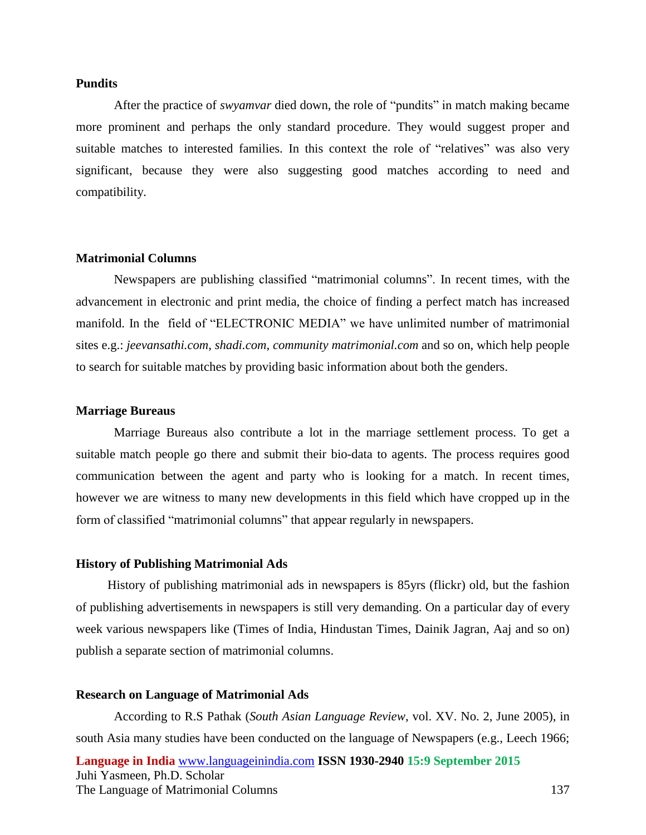#### **Pundits**

After the practice of *swyamvar* died down, the role of "pundits" in match making became more prominent and perhaps the only standard procedure. They would suggest proper and suitable matches to interested families. In this context the role of "relatives" was also very significant, because they were also suggesting good matches according to need and compatibility.

#### **Matrimonial Columns**

Newspapers are publishing classified "matrimonial columns". In recent times, with the advancement in electronic and print media, the choice of finding a perfect match has increased manifold. In the field of "ELECTRONIC MEDIA" we have unlimited number of matrimonial sites e.g.: *jeevansathi.com*, *shadi.com*, *community matrimonial.com* and so on, which help people to search for suitable matches by providing basic information about both the genders.

#### **Marriage Bureaus**

Marriage Bureaus also contribute a lot in the marriage settlement process. To get a suitable match people go there and submit their bio-data to agents. The process requires good communication between the agent and party who is looking for a match. In recent times, however we are witness to many new developments in this field which have cropped up in the form of classified "matrimonial columns" that appear regularly in newspapers.

#### **History of Publishing Matrimonial Ads**

 History of publishing matrimonial ads in newspapers is 85yrs (flickr) old, but the fashion of publishing advertisements in newspapers is still very demanding. On a particular day of every week various newspapers like (Times of India, Hindustan Times, Dainik Jagran, Aaj and so on) publish a separate section of matrimonial columns.

## **Research on Language of Matrimonial Ads**

**Language in India** [www.languageinindia.com](http://www.languageinindia.com/) **ISSN 1930-2940 15:9 September 2015** Juhi Yasmeen, Ph.D. Scholar The Language of Matrimonial Columns 137 According to R.S Pathak (*South Asian Language Review*, vol. XV. No. 2, June 2005), in south Asia many studies have been conducted on the language of Newspapers (e.g., Leech 1966;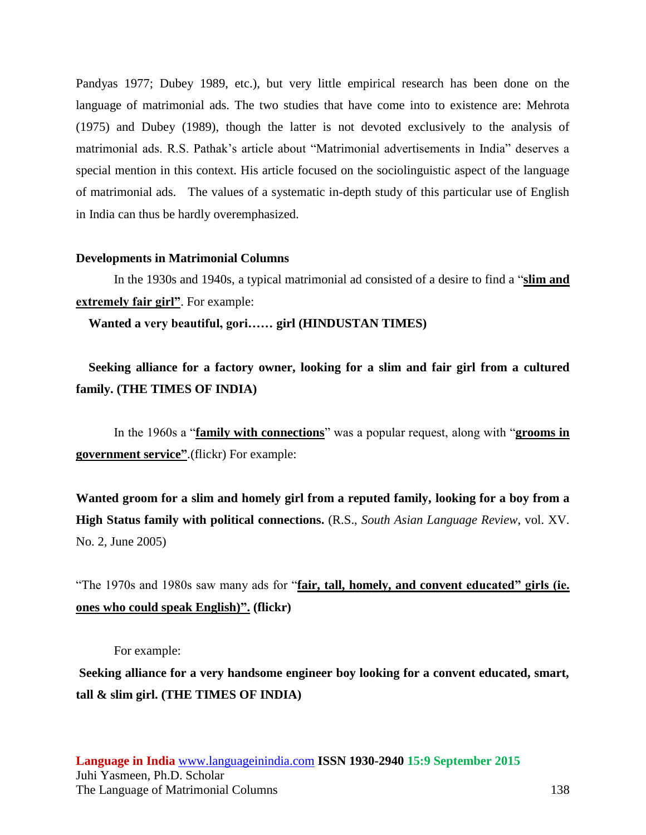Pandyas 1977; Dubey 1989, etc.), but very little empirical research has been done on the language of matrimonial ads. The two studies that have come into to existence are: Mehrota (1975) and Dubey (1989), though the latter is not devoted exclusively to the analysis of matrimonial ads. R.S. Pathak's article about "Matrimonial advertisements in India" deserves a special mention in this context. His article focused on the sociolinguistic aspect of the language of matrimonial ads. The values of a systematic in-depth study of this particular use of English in India can thus be hardly overemphasized.

## **Developments in Matrimonial Columns**

In the 1930s and 1940s, a typical matrimonial ad consisted of a desire to find a "**slim and extremely fair girl"**. For example:

**Wanted a very beautiful, gori…… girl (HINDUSTAN TIMES)**

 **Seeking alliance for a factory owner, looking for a slim and fair girl from a cultured family. (THE TIMES OF INDIA)**

In the 1960s a "**family with connections**" was a popular request, along with "**grooms in government service"**.(flickr) For example:

**Wanted groom for a slim and homely girl from a reputed family, looking for a boy from a High Status family with political connections.** (R.S., *South Asian Language Review*, vol. XV. No. 2, June 2005)

"The 1970s and 1980s saw many ads for "**fair, tall, homely, and convent educated" girls (ie. ones who could speak English)". (flickr)**

For example:

**Seeking alliance for a very handsome engineer boy looking for a convent educated, smart, tall & slim girl. (THE TIMES OF INDIA)**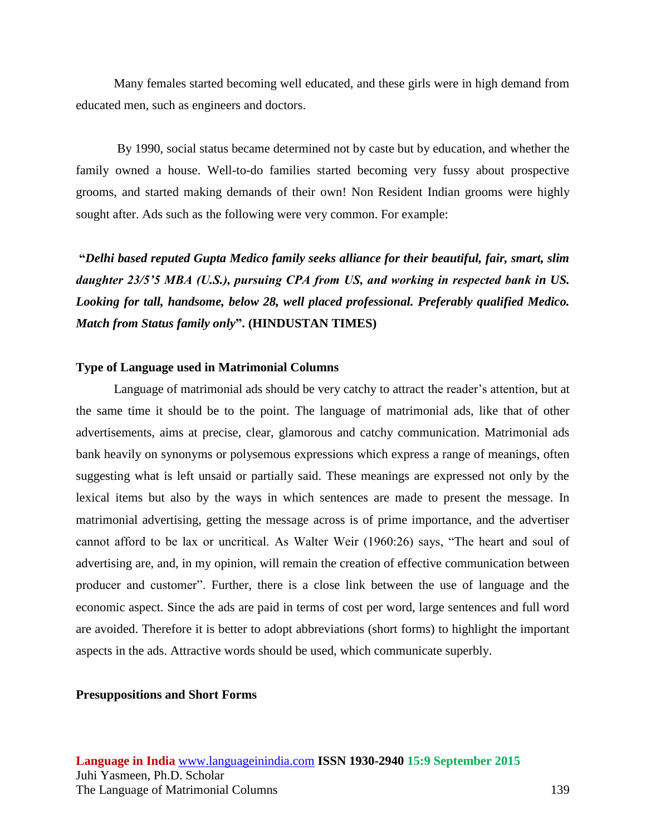Many females started becoming well educated, and these girls were in high demand from educated men, such as engineers and doctors.

By 1990, social status became determined not by caste but by education, and whether the family owned a house. Well-to-do families started becoming very fussy about prospective grooms, and started making demands of their own! Non Resident Indian grooms were highly sought after. Ads such as the following were very common. For example:

**"***Delhi based reputed Gupta Medico family seeks alliance for their beautiful, fair, smart, slim daughter 23/5'5 MBA (U.S.), pursuing CPA from US, and working in respected bank in US. Looking for tall, handsome, below 28, well placed professional. Preferably qualified Medico. Match from Status family only***". (HINDUSTAN TIMES)**

## **Type of Language used in Matrimonial Columns**

Language of matrimonial ads should be very catchy to attract the reader's attention, but at the same time it should be to the point. The language of matrimonial ads, like that of other advertisements, aims at precise, clear, glamorous and catchy communication. Matrimonial ads bank heavily on synonyms or polysemous expressions which express a range of meanings, often suggesting what is left unsaid or partially said. These meanings are expressed not only by the lexical items but also by the ways in which sentences are made to present the message. In matrimonial advertising, getting the message across is of prime importance, and the advertiser cannot afford to be lax or uncritical. As Walter Weir (1960:26) says, "The heart and soul of advertising are, and, in my opinion, will remain the creation of effective communication between producer and customer". Further, there is a close link between the use of language and the economic aspect. Since the ads are paid in terms of cost per word, large sentences and full word are avoided. Therefore it is better to adopt abbreviations (short forms) to highlight the important aspects in the ads. Attractive words should be used, which communicate superbly.

## **Presuppositions and Short Forms**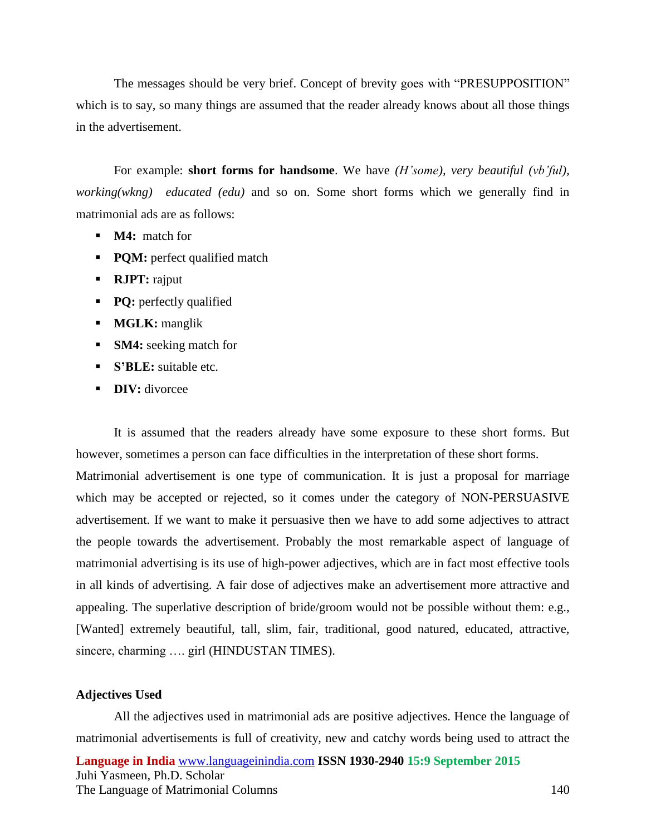The messages should be very brief. Concept of brevity goes with "PRESUPPOSITION" which is to say, so many things are assumed that the reader already knows about all those things in the advertisement.

For example: **short forms for handsome**. We have *(H'some), very beautiful (vb'ful), working(wkng) educated (edu)* and so on. Some short forms which we generally find in matrimonial ads are as follows:

- **M4:** match for
- **PQM:** perfect qualified match
- **RJPT:** rajput
- **PQ:** perfectly qualified
- **MGLK:** manglik
- **SM4:** seeking match for
- **S'BLE:** suitable etc.
- **DIV:** divorcee

It is assumed that the readers already have some exposure to these short forms. But however, sometimes a person can face difficulties in the interpretation of these short forms.

Matrimonial advertisement is one type of communication. It is just a proposal for marriage which may be accepted or rejected, so it comes under the category of NON-PERSUASIVE advertisement. If we want to make it persuasive then we have to add some adjectives to attract the people towards the advertisement. Probably the most remarkable aspect of language of matrimonial advertising is its use of high-power adjectives, which are in fact most effective tools in all kinds of advertising. A fair dose of adjectives make an advertisement more attractive and appealing. The superlative description of bride/groom would not be possible without them: e.g., [Wanted] extremely beautiful, tall, slim, fair, traditional, good natured, educated, attractive, sincere, charming .... girl (HINDUSTAN TIMES).

## **Adjectives Used**

**Language in India** [www.languageinindia.com](http://www.languageinindia.com/) **ISSN 1930-2940 15:9 September 2015** Juhi Yasmeen, Ph.D. Scholar The Language of Matrimonial Columns 140 All the adjectives used in matrimonial ads are positive adjectives. Hence the language of matrimonial advertisements is full of creativity, new and catchy words being used to attract the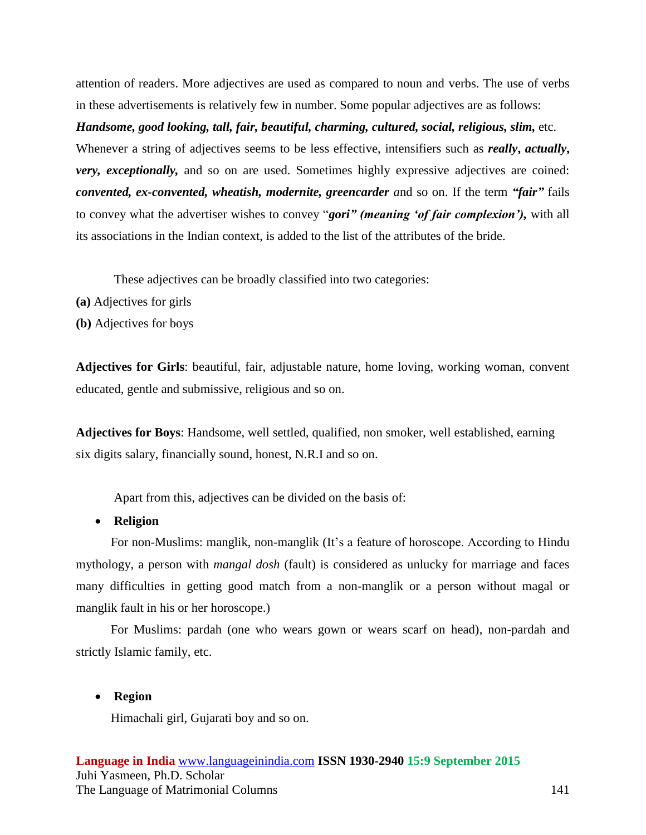attention of readers. More adjectives are used as compared to noun and verbs. The use of verbs in these advertisements is relatively few in number. Some popular adjectives are as follows:

*Handsome, good looking, tall, fair, beautiful, charming, cultured, social, religious, slim,* etc.

Whenever a string of adjectives seems to be less effective, intensifiers such as *really***,** *actually***,**  *very, exceptionally,* and so on are used. Sometimes highly expressive adjectives are coined: *convented, ex-convented, wheatish, modernite, greencarder a*nd so on. If the term *"fair"* fails to convey what the advertiser wishes to convey "*gori" (meaning 'of fair complexion'),* with all its associations in the Indian context, is added to the list of the attributes of the bride.

These adjectives can be broadly classified into two categories:

- **(a)** Adjectives for girls
- **(b)** Adjectives for boys

**Adjectives for Girls**: beautiful, fair, adjustable nature, home loving, working woman, convent educated, gentle and submissive, religious and so on.

**Adjectives for Boys**: Handsome, well settled, qualified, non smoker, well established, earning six digits salary, financially sound, honest, N.R.I and so on.

Apart from this, adjectives can be divided on the basis of:

**Religion**

 For non-Muslims: manglik, non-manglik (It's a feature of horoscope. According to Hindu mythology, a person with *mangal dosh* (fault) is considered as unlucky for marriage and faces many difficulties in getting good match from a non-manglik or a person without magal or manglik fault in his or her horoscope.)

 For Muslims: pardah (one who wears gown or wears scarf on head), non-pardah and strictly Islamic family, etc.

# **Region**

Himachali girl, Gujarati boy and so on.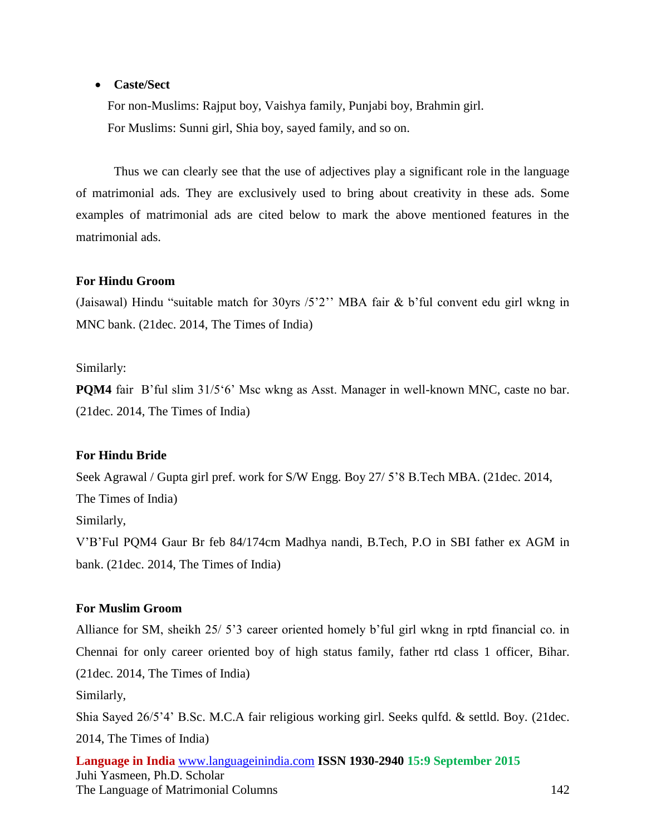# **Caste/Sect**

 For non-Muslims: Rajput boy, Vaishya family, Punjabi boy, Brahmin girl. For Muslims: Sunni girl, Shia boy, sayed family, and so on.

Thus we can clearly see that the use of adjectives play a significant role in the language of matrimonial ads. They are exclusively used to bring about creativity in these ads. Some examples of matrimonial ads are cited below to mark the above mentioned features in the matrimonial ads.

# **For Hindu Groom**

(Jaisawal) Hindu "suitable match for 30yrs /5'2'' MBA fair & b'ful convent edu girl wkng in MNC bank. (21dec. 2014, The Times of India)

# Similarly:

**POM4** fair B'ful slim 31/5'6' Msc wkng as Asst. Manager in well-known MNC, caste no bar. (21dec. 2014, The Times of India)

# **For Hindu Bride**

Seek Agrawal / Gupta girl pref. work for S/W Engg. Boy 27/ 5'8 B.Tech MBA. (21dec. 2014, The Times of India) Similarly, V'B'Ful PQM4 Gaur Br feb 84/174cm Madhya nandi, B.Tech, P.O in SBI father ex AGM in bank. (21dec. 2014, The Times of India)

# **For Muslim Groom**

Alliance for SM, sheikh 25/ 5'3 career oriented homely b'ful girl wkng in rptd financial co. in Chennai for only career oriented boy of high status family, father rtd class 1 officer, Bihar. (21dec. 2014, The Times of India) Similarly, Shia Sayed 26/5'4' B.Sc. M.C.A fair religious working girl. Seeks qulfd. & settld. Boy. (21dec. 2014, The Times of India)

**Language in India** [www.languageinindia.com](http://www.languageinindia.com/) **ISSN 1930-2940 15:9 September 2015** Juhi Yasmeen, Ph.D. Scholar The Language of Matrimonial Columns 142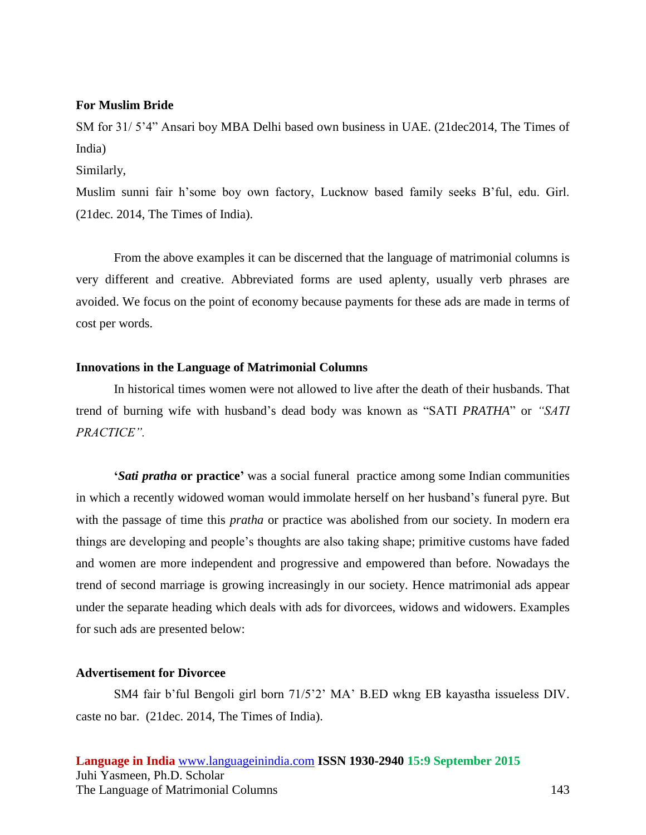## **For Muslim Bride**

SM for 31/ 5'4" Ansari boy MBA Delhi based own business in UAE. (21dec2014, The Times of India)

Similarly,

Muslim sunni fair h'some boy own factory, Lucknow based family seeks B'ful, edu. Girl. (21dec. 2014, The Times of India).

From the above examples it can be discerned that the language of matrimonial columns is very different and creative. Abbreviated forms are used aplenty, usually verb phrases are avoided. We focus on the point of economy because payments for these ads are made in terms of cost per words.

## **Innovations in the Language of Matrimonial Columns**

In historical times women were not allowed to live after the death of their husbands. That trend of burning wife with husband's dead body was known as "SATI *PRATHA*" or *"SATI PRACTICE".*

**'***Sati pratha* **or practice'** was a social [funeral](http://en.wikipedia.org/wiki/Funeral) practice among some [Indian](http://en.wikipedia.org/wiki/India) communities in which a recently [widowed](http://en.wikipedia.org/wiki/Widow) woman would [immolate herself](http://en.wikipedia.org/wiki/Self-immolation) on her husband's funeral [pyre.](http://en.wikipedia.org/wiki/Pyre) But with the passage of time this *pratha* or practice was abolished from our society. In modern era things are developing and people's thoughts are also taking shape; primitive customs have faded and women are more independent and progressive and empowered than before. Nowadays the trend of second marriage is growing increasingly in our society. Hence matrimonial ads appear under the separate heading which deals with ads for divorcees, widows and widowers. Examples for such ads are presented below:

# **Advertisement for Divorcee**

SM4 fair b'ful Bengoli girl born 71/5'2' MA' B.ED wkng EB kayastha issueless DIV. caste no bar. (21dec. 2014, The Times of India).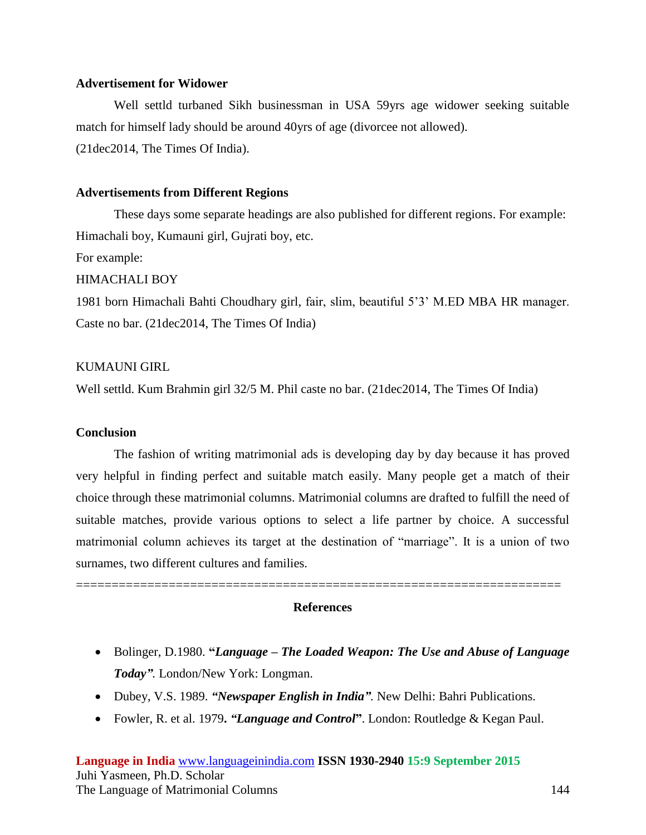## **Advertisement for Widower**

Well settld turbaned Sikh businessman in USA 59yrs age widower seeking suitable match for himself lady should be around 40yrs of age (divorcee not allowed). (21dec2014, The Times Of India).

# **Advertisements from Different Regions**

These days some separate headings are also published for different regions. For example: Himachali boy, Kumauni girl, Gujrati boy, etc. For example:

## HIMACHALI BOY

1981 born Himachali Bahti Choudhary girl, fair, slim, beautiful 5'3' M.ED MBA HR manager. Caste no bar. (21dec2014, The Times Of India)

# KUMAUNI GIRL

Well settld. Kum Brahmin girl 32/5 M. Phil caste no bar. (21dec2014, The Times Of India)

## **Conclusion**

The fashion of writing matrimonial ads is developing day by day because it has proved very helpful in finding perfect and suitable match easily. Many people get a match of their choice through these matrimonial columns. Matrimonial columns are drafted to fulfill the need of suitable matches, provide various options to select a life partner by choice. A successful matrimonial column achieves its target at the destination of "marriage". It is a union of two surnames, two different cultures and families.

====================================================================

## **References**

- Bolinger, D.1980. **"***Language – The Loaded Weapon: The Use and Abuse of Language Today".* London/New York: Longman.
- Dubey, V.S. 1989. *"Newspaper English in India".* New Delhi: Bahri Publications.
- Fowler, R. et al. 1979**.** *"Language and Control***"**. London: Routledge & Kegan Paul.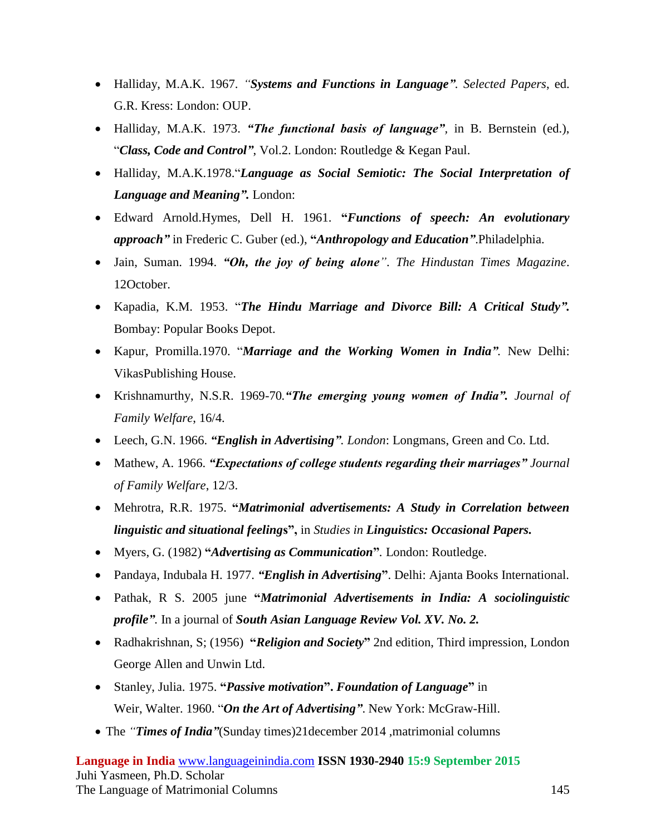- Halliday, M.A.K. 1967. *"Systems and Functions in Language". Selected Papers*, ed. G.R. Kress: London: OUP.
- Halliday, M.A.K. 1973. *"The functional basis of language",* in B. Bernstein (ed.), "*Class, Code and Control"*, Vol.2. London: Routledge & Kegan Paul.
- Halliday, M.A.K.1978."*Language as Social Semiotic: The Social Interpretation of Language and Meaning".* London:
- Edward Arnold.Hymes, Dell H. 1961. **"***Functions of speech: An evolutionary approach"* in Frederic C. Guber (ed.), **"***Anthropology and Education"*.Philadelphia.
- Jain, Suman. 1994. *"Oh, the joy of being alone"*. *The Hindustan Times Magazine*. 12October.
- Kapadia, K.M. 1953. "*The Hindu Marriage and Divorce Bill: A Critical Study".* Bombay: Popular Books Depot.
- Kapur, Promilla.1970. "*Marriage and the Working Women in India".* New Delhi: VikasPublishing House.
- Krishnamurthy, N.S.R. 1969-70*."The emerging young women of India". Journal of Family Welfare*, 16/4.
- Leech, G.N. 1966. *"English in Advertising". London*: Longmans, Green and Co. Ltd.
- Mathew, A. 1966. *"Expectations of college students regarding their marriages" Journal of Family Welfare*, 12/3.
- Mehrotra, R.R. 1975. **"***Matrimonial advertisements: A Study in Correlation between linguistic and situational feeling***s",** in *Studies in Linguistics: Occasional Papers.*
- Myers, G. (1982) **"***Advertising as Communication***"***.* London: Routledge.
- Pandaya, Indubala H. 1977. *"English in Advertising***"**. Delhi: Ajanta Books International.
- Pathak, R S. 2005 june **"***Matrimonial Advertisements in India: A sociolinguistic profile".* In a journal of *South Asian Language Review Vol. XV. No. 2.*
- Radhakrishnan, S; (1956) **"***Religion and Society***"** 2nd edition, Third impression, London George Allen and Unwin Ltd.
- Stanley, Julia. 1975. **"***Passive motivation***".** *Foundation of Language***"** in Weir, Walter. 1960. "*On the Art of Advertising"*. New York: McGraw-Hill.
- The *"Times of India"*(Sunday times)21december 2014 ,matrimonial columns

**Language in India** [www.languageinindia.com](http://www.languageinindia.com/) **ISSN 1930-2940 15:9 September 2015** Juhi Yasmeen, Ph.D. Scholar The Language of Matrimonial Columns 145